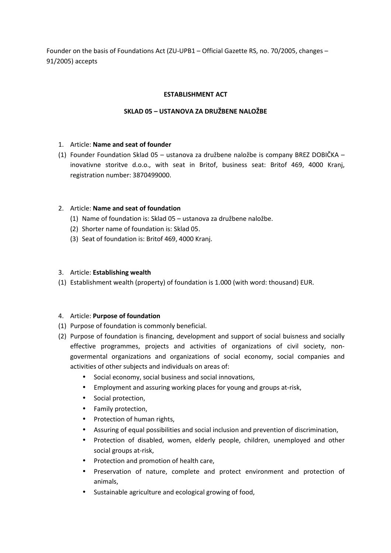Founder on the basis of Foundations Act (ZU-UPB1 – Official Gazette RS, no. 70/2005, changes – 91/2005) accepts

#### **ESTABLISHMENT ACT**

# **SKLAD 05 – USTANOVA ZA DRUŽBENE NALOŽBE**

#### 1. Article: **Name and seat of founder**

(1) Founder Foundation Sklad 05 – ustanova za družbene naložbe is company BREZ DOBIČKA – inovativne storitve d.o.o., with seat in Britof, business seat: Britof 469, 4000 Kranj, registration number: 3870499000.

#### 2. Article: **Name and seat of foundation**

- (1) Name of foundation is: Sklad 05 ustanova za družbene naložbe.
- (2) Shorter name of foundation is: Sklad 05.
- (3) Seat of foundation is: Britof 469, 4000 Kranj.

### 3. Article: **Establishing wealth**

(1) Establishment wealth (property) of foundation is 1.000 (with word: thousand) EUR.

# 4. Article: **Purpose of foundation**

- (1) Purpose of foundation is commonly beneficial.
- (2) Purpose of foundation is financing, development and support of social buisness and socially effective programmes, projects and activities of organizations of civil society, nongovermental organizations and organizations of social economy, social companies and activities of other subjects and individuals on areas of:
	- Social economy, social business and social innovations,
	- Employment and assuring working places for young and groups at-risk,
	- Social protection,
	- Family protection,
	- Protection of human rights,
	- Assuring of equal possibilities and social inclusion and prevention of discrimination,
	- Protection of disabled, women, elderly people, children, unemployed and other social groups at-risk,
	- Protection and promotion of health care,
	- Preservation of nature, complete and protect environment and protection of animals,
	- Sustainable agriculture and ecological growing of food,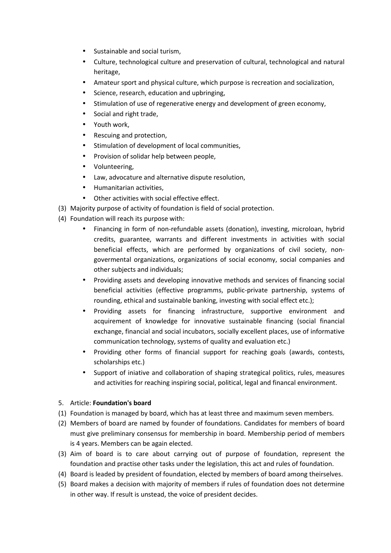- Sustainable and social turism,
- Culture, technological culture and preservation of cultural, technological and natural heritage,
- Amateur sport and physical culture, which purpose is recreation and socialization,
- Science, research, education and upbringing,
- Stimulation of use of regenerative energy and development of green economy,
- Social and right trade,
- Youth work,
- Rescuing and protection,
- Stimulation of development of local communities,
- Provision of solidar help between people,
- Volunteering,
- Law, advocature and alternative dispute resolution,
- Humanitarian activities,
- Other activities with social effective effect.
- (3) Majority purpose of activity of foundation is field of social protection.
- (4) Foundation will reach its purpose with:
	- Financing in form of non-refundable assets (donation), investing, microloan, hybrid credits, guarantee, warrants and different investments in activities with social beneficial effects, which are performed by organizations of civil society, nongovermental organizations, organizations of social economy, social companies and other subjects and individuals;
	- Providing assets and developing innovative methods and services of financing social beneficial activities (effective programms, public-private partnership, systems of rounding, ethical and sustainable banking, investing with social effect etc.);
	- Providing assets for financing infrastructure, supportive environment and acquirement of knowledge for innovative sustainable financing (social financial exchange, financial and social incubators, socially excellent places, use of informative communication technology, systems of quality and evaluation etc.)
	- Providing other forms of financial support for reaching goals (awards, contests, scholarships etc.)
	- Support of iniative and collaboration of shaping strategical politics, rules, measures and activities for reaching inspiring social, political, legal and financal environment.

# 5. Article: **Foundation's board**

- (1) Foundation is managed by board, which has at least three and maximum seven members.
- (2) Members of board are named by founder of foundations. Candidates for members of board must give preliminary consensus for membership in board. Membership period of members is 4 years. Members can be again elected.
- (3) Aim of board is to care about carrying out of purpose of foundation, represent the foundation and practise other tasks under the legislation, this act and rules of foundation.
- (4) Board is leaded by president of foundation, elected by members of board among theirselves.
- (5) Board makes a decision with majority of members if rules of foundation does not determine in other way. If result is unstead, the voice of president decides.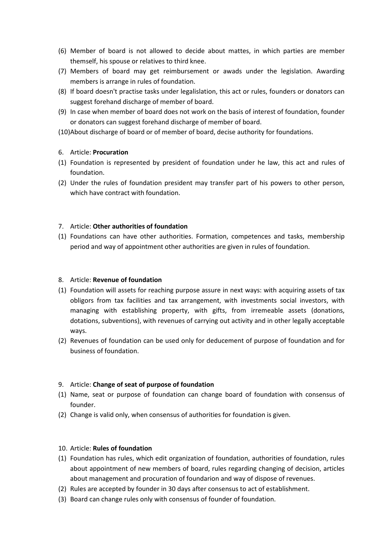- (6) Member of board is not allowed to decide about mattes, in which parties are member themself, his spouse or relatives to third knee.
- (7) Members of board may get reimbursement or awads under the legislation. Awarding members is arrange in rules of foundation.
- (8) If board doesn't practise tasks under legalislation, this act or rules, founders or donators can suggest forehand discharge of member of board.
- (9) In case when member of board does not work on the basis of interest of foundation, founder or donators can suggest forehand discharge of member of board.
- (10)About discharge of board or of member of board, decise authority for foundations.

# 6. Article: **Procuration**

- (1) Foundation is represented by president of foundation under he law, this act and rules of foundation.
- (2) Under the rules of foundation president may transfer part of his powers to other person, which have contract with foundation.

# 7. Article: **Other authorities of foundation**

(1) Foundations can have other authorities. Formation, competences and tasks, membership period and way of appointment other authorities are given in rules of foundation.

#### 8. Article: **Revenue of foundation**

- (1) Foundation will assets for reaching purpose assure in next ways: with acquiring assets of tax obligors from tax facilities and tax arrangement, with investments social investors, with managing with establishing property, with gifts, from irremeable assets (donations, dotations, subventions), with revenues of carrying out activity and in other legally acceptable ways.
- (2) Revenues of foundation can be used only for deducement of purpose of foundation and for business of foundation.

# 9. Article: **Change of seat of purpose of foundation**

- (1) Name, seat or purpose of foundation can change board of foundation with consensus of founder.
- (2) Change is valid only, when consensus of authorities for foundation is given.

#### 10. Article: **Rules of foundation**

- (1) Foundation has rules, which edit organization of foundation, authorities of foundation, rules about appointment of new members of board, rules regarding changing of decision, articles about management and procuration of foundarion and way of dispose of revenues.
- (2) Rules are accepted by founder in 30 days after consensus to act of establishment.
- (3) Board can change rules only with consensus of founder of foundation.